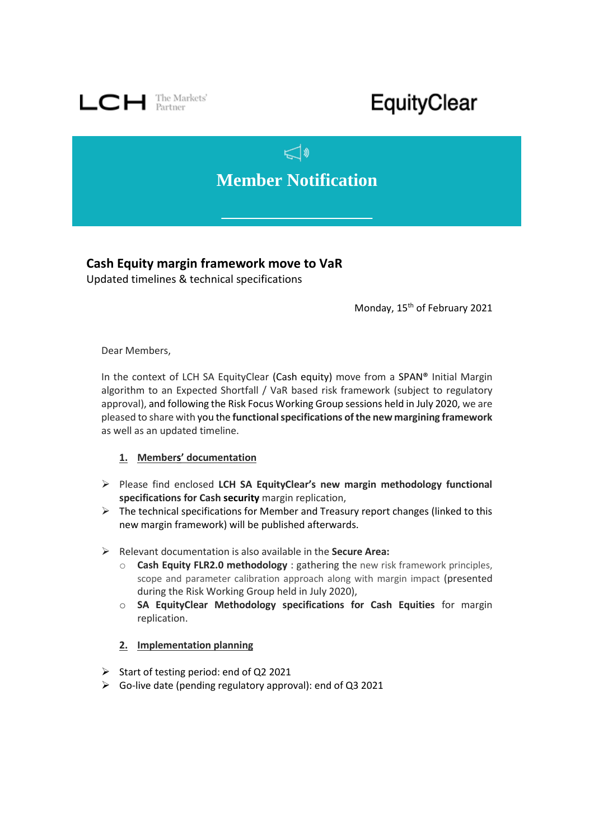

## EquityClear

## $\mathbb{C}^*$ **Member Notification**

**Cash Equity margin framework move to VaR**

Updated timelines & technical specifications

Monday, 15<sup>th</sup> of February 2021

Dear Members,

In the context of LCH SA EquityClear (Cash equity) move from a SPAN® Initial Margin algorithm to an Expected Shortfall / VaR based risk framework (subject to regulatory approval), and following the Risk Focus Working Group sessions held in July 2020, we are pleased to share with you the **functional specifications of the new margining framework** as well as an updated timeline.

## **1. Members' documentation**

- ➢ Please find enclosed **LCH SA EquityClear's new margin methodology functional specifications for Cash security** margin replication,
- $\triangleright$  The technical specifications for Member and Treasury report changes (linked to this new margin framework) will be published afterwards.
- ➢ Relevant documentation is also available in the **Secure Area:**
	- o **Cash Equity FLR2.0 methodology** : gathering the new risk framework principles, scope and parameter calibration approach along with margin impact (presented during the Risk Working Group held in July 2020),
	- o **SA EquityClear Methodology specifications for Cash Equities** for margin replication.
	- **2. Implementation planning**
- ➢ Start of testing period: end of Q2 2021
- $\triangleright$  Go-live date (pending regulatory approval): end of Q3 2021